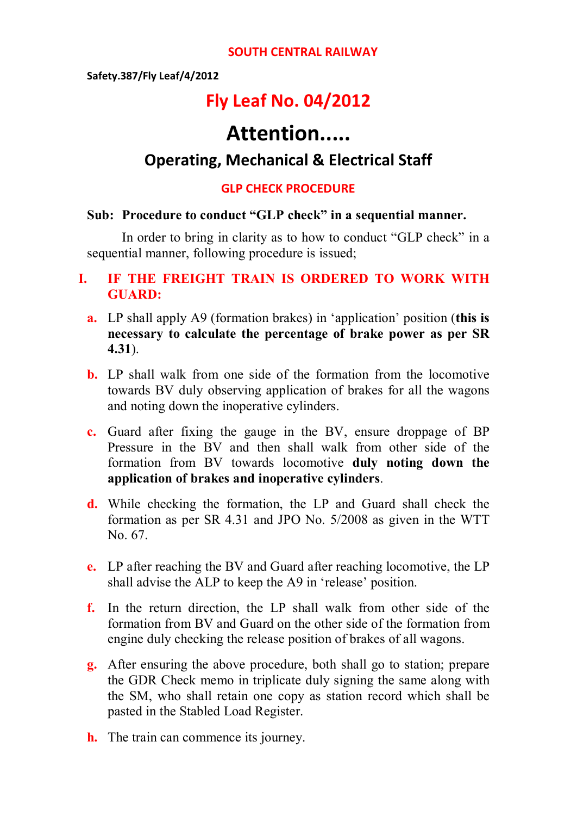#### **SOUTH CENTRAL RAILWAY**

#### **Safety.387/Fly Leaf/4/2012**

# **Fly Leaf No. 04/2012**

# **Attention.....**

## **Operating, Mechanical & Electrical Staff**

#### **GLP CHECK PROCEDURE**

#### **Sub: Procedure to conduct "GLP check" in a sequential manner.**

In order to bring in clarity as to how to conduct "GLP check" in a sequential manner, following procedure is issued;

### **I. IF THE FREIGHT TRAIN IS ORDERED TO WORK WITH GUARD:**

- **a.** LP shall apply A9 (formation brakes) in 'application' position (**this is necessary to calculate the percentage of brake power as per SR 4.31**).
- **b.** LP shall walk from one side of the formation from the locomotive towards BV duly observing application of brakes for all the wagons and noting down the inoperative cylinders.
- **c.** Guard after fixing the gauge in the BV, ensure droppage of BP Pressure in the BV and then shall walk from other side of the formation from BV towards locomotive **duly noting down the application of brakes and inoperative cylinders**.
- **d.** While checking the formation, the LP and Guard shall check the formation as per SR 4.31 and JPO No. 5/2008 as given in the WTT No. 67.
- **e.** LP after reaching the BV and Guard after reaching locomotive, the LP shall advise the ALP to keep the A9 in 'release' position.
- **f.** In the return direction, the LP shall walk from other side of the formation from BV and Guard on the other side of the formation from engine duly checking the release position of brakes of all wagons.
- **g.** After ensuring the above procedure, both shall go to station; prepare the GDR Check memo in triplicate duly signing the same along with the SM, who shall retain one copy as station record which shall be pasted in the Stabled Load Register.
- **h.** The train can commence its journey.